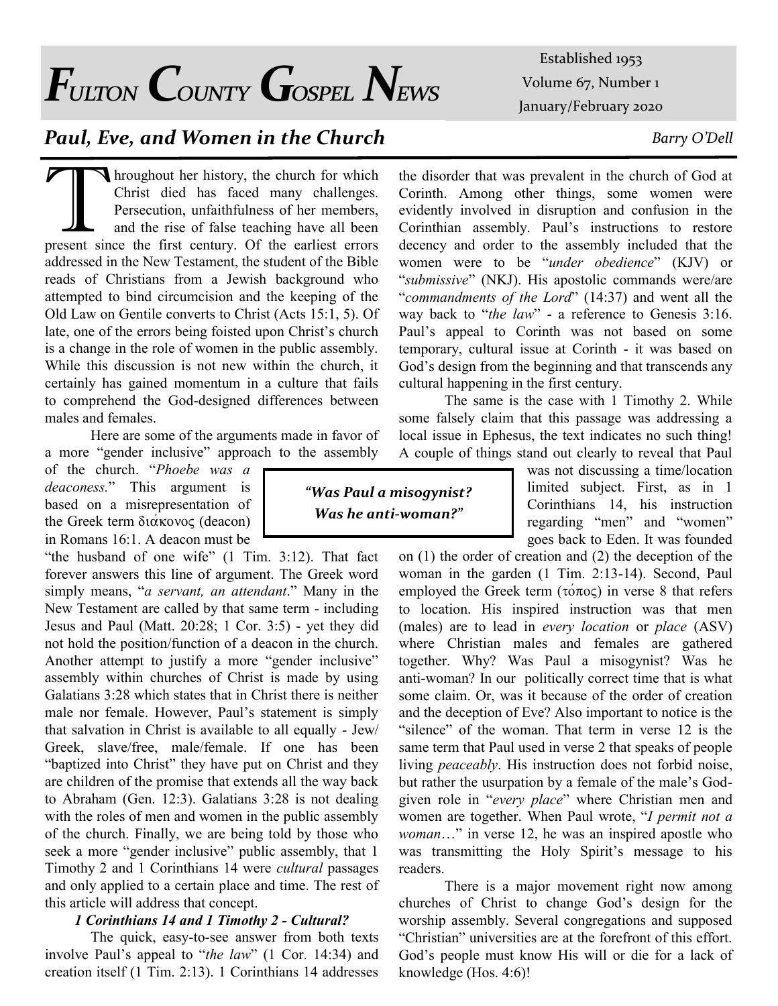*Fulton County Gospel News*

# *Paul, Eve, and Women in the Church*

Internation which<br>
Throughout her history, the church for which<br>
Christ died has faced many challenges.<br>
Persecution, unfaithfulness of her members,<br>
and the rise of false teaching have all been<br>
present since the first ce **N** hroughout her history, the church for which Christ died has faced many challenges. Persecution, unfaithfulness of her members, and the rise of false teaching have all been addressed in the New Testament, the student of the Bible reads of Christians from a Jewish background who attempted to bind circumcision and the keeping of the Old Law on Gentile converts to Christ (Acts 15:1, 5). Of late, one of the errors being foisted upon Christ's church is a change in the role of women in the public assembly. While this discussion is not new within the church, it certainly has gained momentum in a culture that fails to comprehend the God-designed differences between males and females.

Here are some of the arguments made in favor of a more "gender inclusive" approach to the assembly

of the church. "*Phoebe was a deaconess.*" This argument is based on a misrepresentation of the Greek term  $\delta x \propto \delta$  (deacon) in Romans 16:1. A deacon must be

"the husband of one wife" (1 Tim. 3:12). That fact forever answers this line of argument. The Greek word simply means, "*a servant, an attendant*." Many in the New Testament are called by that same term - including Jesus and Paul (Matt. 20:28; 1 Cor. 3:5) - yet they did not hold the position/function of a deacon in the church. Another attempt to justify a more "gender inclusive" assembly within churches of Christ is made by using Galatians 3:28 which states that in Christ there is neither male nor female. However, Paul's statement is simply that salvation in Christ is available to all equally - Jew/ Greek, slave/free, male/female. If one has been "baptized into Christ" they have put on Christ and they are children of the promise that extends all the way back to Abraham (Gen. 12:3). Galatians 3:28 is not dealing with the roles of men and women in the public assembly of the church. Finally, we are being told by those who seek a more "gender inclusive" public assembly, that 1 Timothy 2 and 1 Corinthians 14 were *cultural* passages and only applied to a certain place and time. The rest of this article will address that concept.

### *1 Corinthians 14 and 1 Timothy 2 - Cultural?*

The quick, easy-to-see answer from both texts involve Paul's appeal to "*the law*" (1 Cor. 14:34) and creation itself (1 Tim. 2:13). 1 Corinthians 14 addresses

Established 1953 Volume 67, Number 1 January/February 2020

### *Barry O'Dell*

the disorder that was prevalent in the church of God at Corinth. Among other things, some women were evidently involved in disruption and confusion in the Corinthian assembly. Paul's instructions to restore decency and order to the assembly included that the women were to be "*under obedience*" (KJV) or "*submissive*" (NKJ). His apostolic commands were/are "*commandments of the Lord*" (14:37) and went all the way back to "*the law*" - a reference to Genesis 3:16. Paul's appeal to Corinth was not based on some temporary, cultural issue at Corinth - it was based on God's design from the beginning and that transcends any cultural happening in the first century.

The same is the case with 1 Timothy 2. While some falsely claim that this passage was addressing a local issue in Ephesus, the text indicates no such thing! A couple of things stand out clearly to reveal that Paul

> was not discussing a time/location limited subject. First, as in 1 Corinthians 14, his instruction regarding "men" and "women" goes back to Eden. It was founded

on (1) the order of creation and (2) the deception of the woman in the garden (1 Tim. 2:13-14). Second, Paul employed the Greek term  $(\tau \acute{o} \pi \acute{o} \varsigma)$  in verse 8 that refers to location. His inspired instruction was that men (males) are to lead in *every location* or *place* (ASV) where Christian males and females are gathered together. Why? Was Paul a misogynist? Was he anti-woman? In our politically correct time that is what some claim. Or, was it because of the order of creation and the deception of Eve? Also important to notice is the "silence" of the woman. That term in verse 12 is the same term that Paul used in verse 2 that speaks of people living *peaceably*. His instruction does not forbid noise, but rather the usurpation by a female of the male's Godgiven role in "*every place*" where Christian men and women are together. When Paul wrote, "*I permit not a woman*…" in verse 12, he was an inspired apostle who was transmitting the Holy Spirit's message to his readers.

There is a major movement right now among churches of Christ to change God's design for the worship assembly. Several congregations and supposed "Christian" universities are at the forefront of this effort. God's people must know His will or die for a lack of knowledge (Hos. 4:6)!

*"Was Paul a misogynist? Was he anti-woman?"*

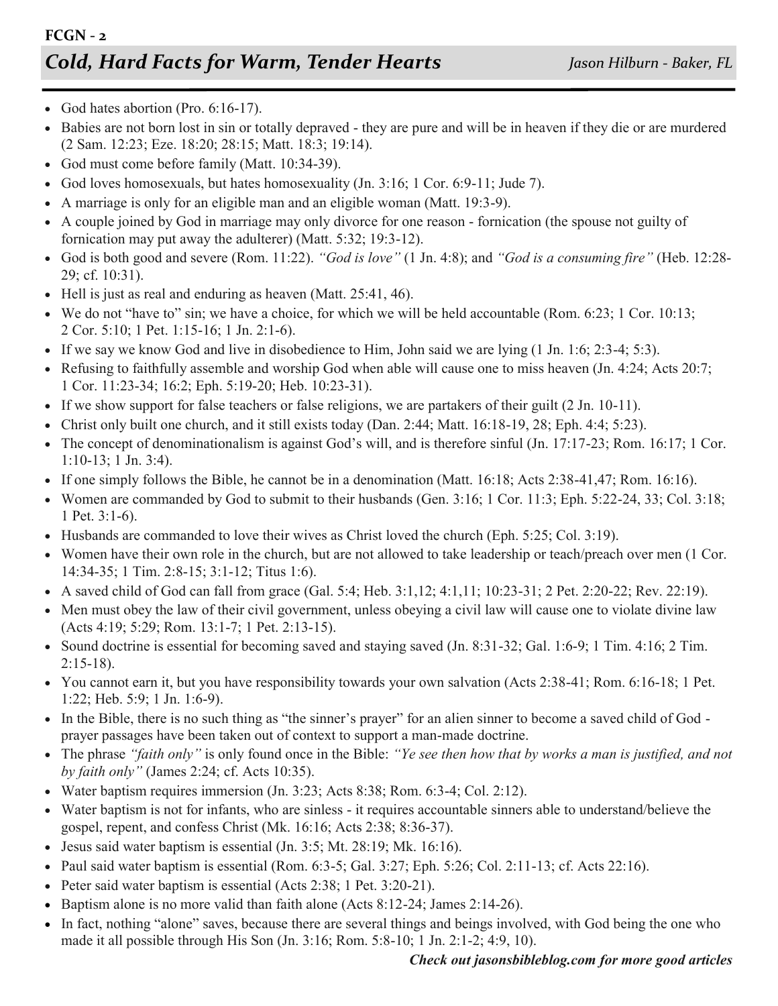- God hates abortion (Pro.  $6:16-17$ ).
- Babies are not born lost in sin or totally depraved they are pure and will be in heaven if they die or are murdered (2 Sam. 12:23; Eze. 18:20; 28:15; Matt. 18:3; 19:14).
- God must come before family (Matt. 10:34-39).
- God loves homosexuals, but hates homosexuality  $($  Jn. 3:16; 1 Cor. 6:9-11; Jude 7).
- A marriage is only for an eligible man and an eligible woman (Matt. 19:3-9).
- A couple joined by God in marriage may only divorce for one reason fornication (the spouse not guilty of fornication may put away the adulterer) (Matt. 5:32; 19:3-12).
- God is both good and severe (Rom. 11:22). *"God is love"* (1 Jn. 4:8); and *"God is a consuming fire"* (Heb. 12:28- 29; cf. 10:31).
- Hell is just as real and enduring as heaven (Matt. 25:41, 46).
- We do not "have to" sin; we have a choice, for which we will be held accountable (Rom. 6:23; 1 Cor. 10:13; 2 Cor. 5:10; 1 Pet. 1:15-16; 1 Jn. 2:1-6).
- If we say we know God and live in disobedience to Him, John said we are lying (1 Jn. 1:6; 2:3-4; 5:3).
- Refusing to faithfully assemble and worship God when able will cause one to miss heaven (Jn. 4:24; Acts 20:7; 1 Cor. 11:23-34; 16:2; Eph. 5:19-20; Heb. 10:23-31).
- If we show support for false teachers or false religions, we are partakers of their guilt (2 Jn. 10-11).
- Christ only built one church, and it still exists today (Dan. 2:44; Matt. 16:18-19, 28; Eph. 4:4; 5:23).
- $\bullet$  The concept of denominationalism is against God's will, and is therefore sinful (Jn. 17:17-23; Rom. 16:17; 1 Cor. 1:10-13; 1 Jn. 3:4).
- If one simply follows the Bible, he cannot be in a denomination (Matt.  $16:18$ ; Acts  $2:38-41,47$ ; Rom.  $16:16$ ).
- Women are commanded by God to submit to their husbands (Gen. 3:16; 1 Cor. 11:3; Eph. 5:22-24, 33; Col. 3:18; 1 Pet. 3:1-6).
- $\bullet$  Husbands are commanded to love their wives as Christ loved the church (Eph. 5:25; Col. 3:19).
- Women have their own role in the church, but are not allowed to take leadership or teach/preach over men (1 Cor. 14:34-35; 1 Tim. 2:8-15; 3:1-12; Titus 1:6).
- A saved child of God can fall from grace (Gal. 5:4; Heb. 3:1,12; 4:1,11; 10:23-31; 2 Pet. 2:20-22; Rev. 22:19).
- Men must obey the law of their civil government, unless obeying a civil law will cause one to violate divine law (Acts 4:19; 5:29; Rom. 13:1-7; 1 Pet. 2:13-15).
- Sound doctrine is essential for becoming saved and staying saved (Jn. 8:31-32; Gal. 1:6-9; 1 Tim. 4:16; 2 Tim. 2:15-18).
- You cannot earn it, but you have responsibility towards your own salvation (Acts 2:38-41; Rom. 6:16-18; 1 Pet. 1:22; Heb. 5:9; 1 Jn. 1:6-9).
- In the Bible, there is no such thing as "the sinner's prayer" for an alien sinner to become a saved child of God prayer passages have been taken out of context to support a man-made doctrine.
- The phrase *"faith only"* is only found once in the Bible: *"Ye see then how that by works a man is justified, and not by faith only"* (James 2:24; cf. Acts 10:35).
- Water baptism requires immersion  $($ Jn. 3:23; Acts 8:38; Rom. 6:3-4; Col. 2:12).
- Water baptism is not for infants, who are sinless it requires accountable sinners able to understand/believe the gospel, repent, and confess Christ (Mk. 16:16; Acts 2:38; 8:36-37).
- $\bullet$  Jesus said water baptism is essential (Jn. 3:5; Mt. 28:19; Mk. 16:16).
- Paul said water baptism is essential (Rom.  $6:3-5$ ; Gal.  $3:27$ ; Eph.  $5:26$ ; Col.  $2:11-13$ ; cf. Acts  $22:16$ ).
- Peter said water baptism is essential (Acts 2:38; 1 Pet. 3:20-21).
- Baptism alone is no more valid than faith alone (Acts  $8:12-24$ ; James  $2:14-26$ ).
- In fact, nothing "alone" saves, because there are several things and beings involved, with God being the one who made it all possible through His Son (Jn. 3:16; Rom. 5:8-10; 1 Jn. 2:1-2; 4:9, 10).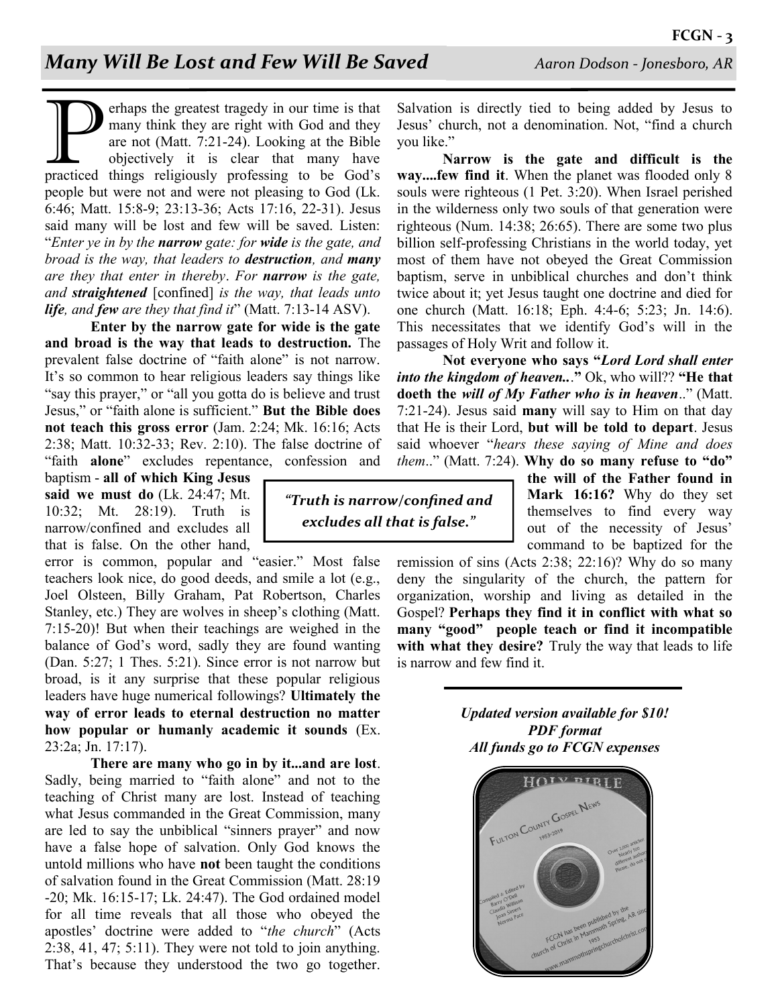The present tragedy in our time is that<br>many think they are right with God and they<br>are not (Matt. 7:21-24). Looking at the Bible<br>objectively it is clear that many have<br>practiced things religiously professing to be God's erhaps the greatest tragedy in our time is that many think they are right with God and they are not (Matt. 7:21-24). Looking at the Bible objectively it is clear that many have people but were not and were not pleasing to God (Lk. 6:46; Matt. 15:8-9; 23:13-36; Acts 17:16, 22-31). Jesus said many will be lost and few will be saved. Listen: "*Enter ye in by the narrow gate: for wide is the gate, and broad is the way, that leaders to destruction, and many are they that enter in thereby*. *For narrow is the gate, and straightened* [confined] *is the way, that leads unto life, and few are they that find it*" (Matt. 7:13-14 ASV).

**Enter by the narrow gate for wide is the gate and broad is the way that leads to destruction.** The prevalent false doctrine of "faith alone" is not narrow. It's so common to hear religious leaders say things like "say this prayer," or "all you gotta do is believe and trust Jesus," or "faith alone is sufficient." **But the Bible does not teach this gross error** (Jam. 2:24; Mk. 16:16; Acts 2:38; Matt. 10:32-33; Rev. 2:10). The false doctrine of "faith **alone**" excludes repentance, confession and

baptism - **all of which King Jesus said we must do** (Lk. 24:47; Mt. 10:32; Mt. 28:19). Truth is narrow/confined and excludes all that is false. On the other hand,

error is common, popular and "easier." Most false teachers look nice, do good deeds, and smile a lot (e.g., Joel Olsteen, Billy Graham, Pat Robertson, Charles Stanley, etc.) They are wolves in sheep's clothing (Matt. 7:15-20)! But when their teachings are weighed in the balance of God's word, sadly they are found wanting (Dan. 5:27; 1 Thes. 5:21). Since error is not narrow but broad, is it any surprise that these popular religious leaders have huge numerical followings? **Ultimately the way of error leads to eternal destruction no matter how popular or humanly academic it sounds** (Ex. 23:2a; Jn. 17:17).

**There are many who go in by it...and are lost**. Sadly, being married to "faith alone" and not to the teaching of Christ many are lost. Instead of teaching what Jesus commanded in the Great Commission, many are led to say the unbiblical "sinners prayer" and now have a false hope of salvation. Only God knows the untold millions who have **not** been taught the conditions of salvation found in the Great Commission (Matt. 28:19 -20; Mk. 16:15-17; Lk. 24:47). The God ordained model for all time reveals that all those who obeyed the apostles' doctrine were added to "*the church*" (Acts 2:38, 41, 47; 5:11). They were not told to join anything. That's because they understood the two go together.

*"Truth is narrow/confined and excludes all that is false."*

Salvation is directly tied to being added by Jesus to Jesus' church, not a denomination. Not, "find a church you like."

**Narrow is the gate and difficult is the way....few find it**. When the planet was flooded only 8 souls were righteous (1 Pet. 3:20). When Israel perished in the wilderness only two souls of that generation were righteous (Num. 14:38; 26:65). There are some two plus billion self-professing Christians in the world today, yet most of them have not obeyed the Great Commission baptism, serve in unbiblical churches and don't think twice about it; yet Jesus taught one doctrine and died for one church (Matt. 16:18; Eph. 4:4-6; 5:23; Jn. 14:6). This necessitates that we identify God's will in the passages of Holy Writ and follow it.

**Not everyone who says "***Lord Lord shall enter into the kingdom of heaven..*.**"** Ok, who will?? **"He that doeth the** *will of My Father who is in heaven*.." (Matt. 7:21-24). Jesus said **many** will say to Him on that day that He is their Lord, **but will be told to depart**. Jesus said whoever "*hears these saying of Mine and does them*.." (Matt. 7:24). **Why do so many refuse to "do"** 

**the will of the Father found in Mark 16:16?** Why do they set themselves to find every way out of the necessity of Jesus' command to be baptized for the

remission of sins (Acts 2:38; 22:16)? Why do so many deny the singularity of the church, the pattern for organization, worship and living as detailed in the Gospel? **Perhaps they find it in conflict with what so many "good" people teach or find it incompatible with what they desire?** Truly the way that leads to life is narrow and few find it.

> *Updated version available for \$10! PDF format All funds go to FCGN expenses*